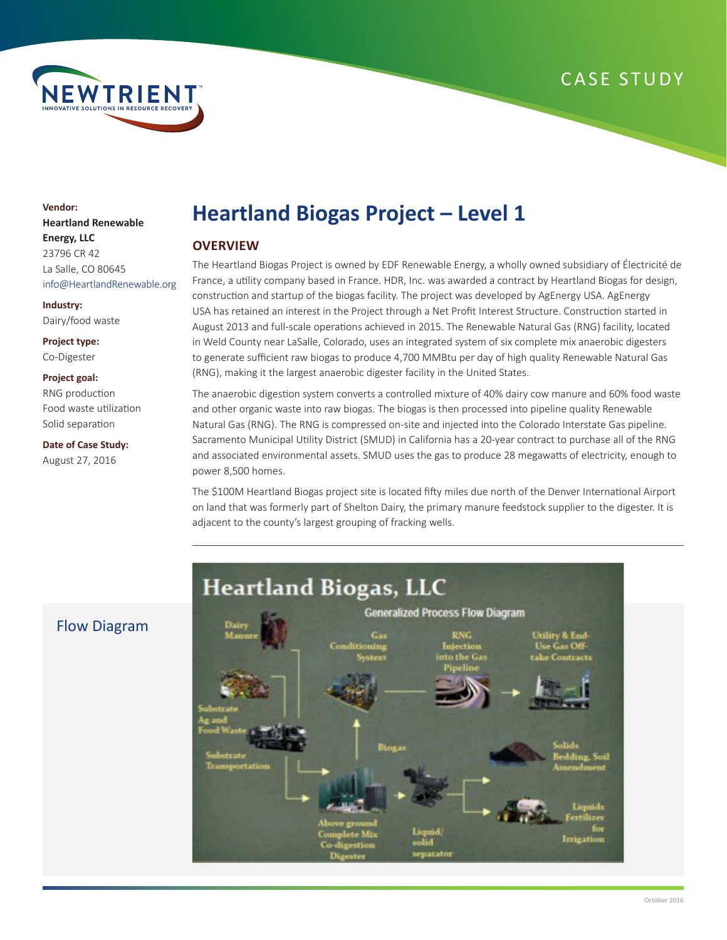



# **Vendor: Heartland Renewable Energy, LLC** 23796 CR 42 La Salle, CO 80645 info@HeartlandRenewable.org

**Industry:** Dairy/food waste

**Project type:** Co-Digester

#### **Project goal:**

RNG production Food waste utilization Solid separation

**Date of Case Study:** August 27, 2016

# **Heartland Biogas Project – Level 1**

# **OVERVIEW**

The Heartland Biogas Project is owned by EDF Renewable Energy, a wholly owned subsidiary of Électricité de France, a utility company based in France. HDR, Inc. was awarded a contract by Heartland Biogas for design, construction and startup of the biogas facility. The project was developed by AgEnergy USA. AgEnergy USA has retained an interest in the Project through a Net Profit Interest Structure. Construction started in August 2013 and full-scale operations achieved in 2015. The Renewable Natural Gas (RNG) facility, located in Weld County near LaSalle, Colorado, uses an integrated system of six complete mix anaerobic digesters to generate sufficient raw biogas to produce 4,700 MMBtu per day of high quality Renewable Natural Gas (RNG), making it the largest anaerobic digester facility in the United States.

The anaerobic digestion system converts a controlled mixture of 40% dairy cow manure and 60% food waste and other organic waste into raw biogas. The biogas is then processed into pipeline quality Renewable Natural Gas (RNG). The RNG is compressed on-site and injected into the Colorado Interstate Gas pipeline. Sacramento Municipal Utility District (SMUD) in California has a 20-year contract to purchase all of the RNG and associated environmental assets. SMUD uses the gas to produce 28 megawatts of electricity, enough to power 8,500 homes.

The \$100M Heartland Biogas project site is located fifty miles due north of the Denver International Airport on land that was formerly part of Shelton Dairy, the primary manure feedstock supplier to the digester. It is adjacent to the county's largest grouping of fracking wells.



# Flow Diagram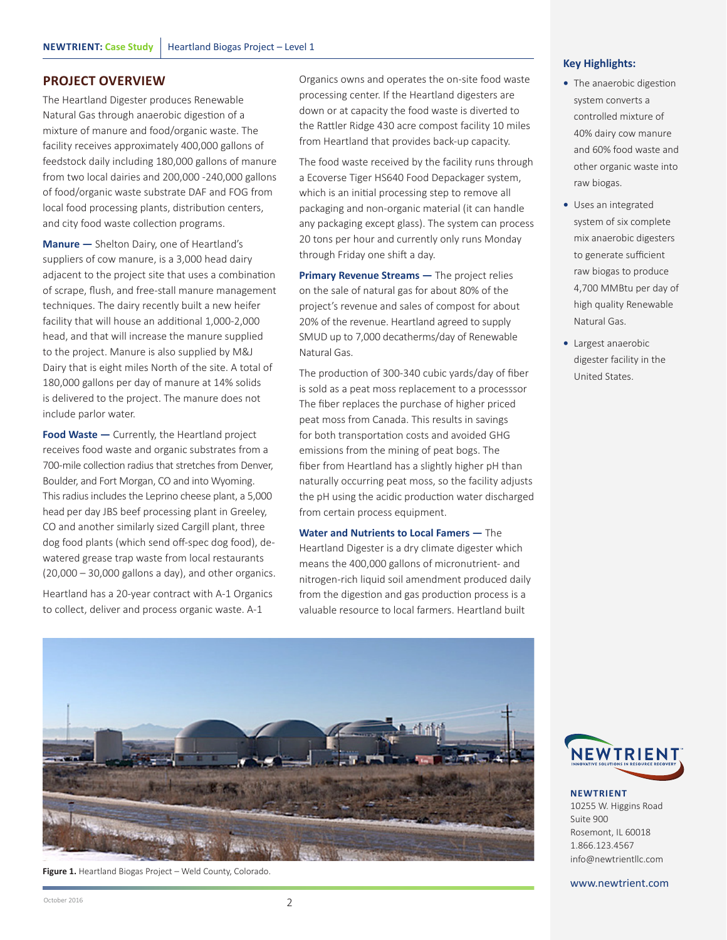# **PROJECT OVERVIEW**

The Heartland Digester produces Renewable Natural Gas through anaerobic digestion of a mixture of manure and food/organic waste. The facility receives approximately 400,000 gallons of feedstock daily including 180,000 gallons of manure from two local dairies and 200,000 -240,000 gallons of food/organic waste substrate DAF and FOG from local food processing plants, distribution centers, and city food waste collection programs.

**Manure —** Shelton Dairy, one of Heartland's suppliers of cow manure, is a 3,000 head dairy adjacent to the project site that uses a combination of scrape, flush, and free-stall manure management techniques. The dairy recently built a new heifer facility that will house an additional 1,000-2,000 head, and that will increase the manure supplied to the project. Manure is also supplied by M&J Dairy that is eight miles North of the site. A total of 180,000 gallons per day of manure at 14% solids is delivered to the project. The manure does not include parlor water.

**Food Waste —** Currently, the Heartland project receives food waste and organic substrates from a 700-mile collection radius that stretches from Denver, Boulder, and Fort Morgan, CO and into Wyoming. This radius includes the Leprino cheese plant, a 5,000 head per day JBS beef processing plant in Greeley, CO and another similarly sized Cargill plant, three dog food plants (which send off-spec dog food), dewatered grease trap waste from local restaurants (20,000 – 30,000 gallons a day), and other organics.

Heartland has a 20-year contract with A-1 Organics to collect, deliver and process organic waste. A-1

Organics owns and operates the on-site food waste processing center. If the Heartland digesters are down or at capacity the food waste is diverted to the Rattler Ridge 430 acre compost facility 10 miles from Heartland that provides back-up capacity.

The food waste received by the facility runs through a Ecoverse Tiger HS640 Food Depackager system, which is an initial processing step to remove all packaging and non-organic material (it can handle any packaging except glass). The system can process 20 tons per hour and currently only runs Monday through Friday one shift a day.

**Primary Revenue Streams -** The project relies on the sale of natural gas for about 80% of the project's revenue and sales of compost for about 20% of the revenue. Heartland agreed to supply SMUD up to 7,000 decatherms/day of Renewable Natural Gas.

The production of 300-340 cubic yards/day of fiber is sold as a peat moss replacement to a processsor The fiber replaces the purchase of higher priced peat moss from Canada. This results in savings for both transportation costs and avoided GHG emissions from the mining of peat bogs. The fiber from Heartland has a slightly higher pH than naturally occurring peat moss, so the facility adjusts the pH using the acidic production water discharged from certain process equipment.

**Water and Nutrients to Local Famers —** The Heartland Digester is a dry climate digester which means the 400,000 gallons of micronutrient- and nitrogen-rich liquid soil amendment produced daily from the digestion and gas production process is a valuable resource to local farmers. Heartland built



- **•** The anaerobic digestion system converts a controlled mixture of 40% dairy cow manure and 60% food waste and other organic waste into raw biogas.
- **•** Uses an integrated system of six complete mix anaerobic digesters to generate sufficient raw biogas to produce 4,700 MMBtu per day of high quality Renewable Natural Gas.
- **•** Largest anaerobic digester facility in the United States.



**Figure 1.** Heartland Biogas Project – Weld County, Colorado.



**NEWTRIENT** 10255 W. Higgins Road Suite 900 Rosemont, IL 60018 1.866.123.4567 info@newtrientllc.com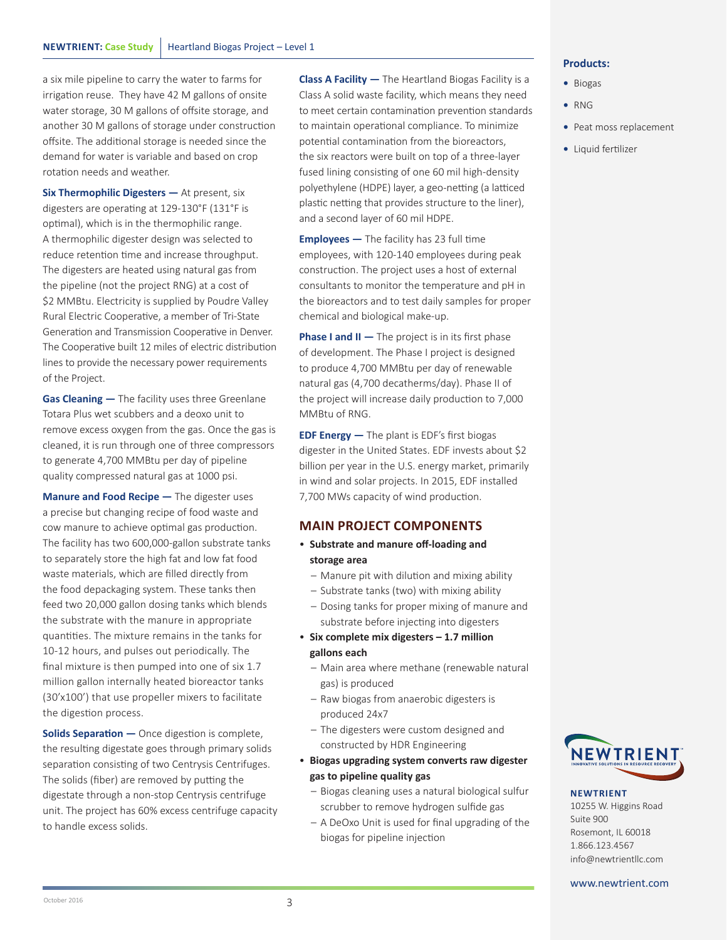a six mile pipeline to carry the water to farms for irrigation reuse. They have 42 M gallons of onsite water storage, 30 M gallons of offsite storage, and another 30 M gallons of storage under construction offsite. The additional storage is needed since the demand for water is variable and based on crop rotation needs and weather.

**Six Thermophilic Digesters —** At present, six digesters are operating at 129-130°F (131°F is optimal), which is in the thermophilic range. A thermophilic digester design was selected to reduce retention time and increase throughput. The digesters are heated using natural gas from the pipeline (not the project RNG) at a cost of \$2 MMBtu. Electricity is supplied by Poudre Valley Rural Electric Cooperative, a member of Tri-State Generation and Transmission Cooperative in Denver. The Cooperative built 12 miles of electric distribution lines to provide the necessary power requirements of the Project.

**Gas Cleaning —** The facility uses three Greenlane Totara Plus wet scubbers and a deoxo unit to remove excess oxygen from the gas. Once the gas is cleaned, it is run through one of three compressors to generate 4,700 MMBtu per day of pipeline quality compressed natural gas at 1000 psi.

**Manure and Food Recipe —** The digester uses a precise but changing recipe of food waste and cow manure to achieve optimal gas production. The facility has two 600,000-gallon substrate tanks to separately store the high fat and low fat food waste materials, which are filled directly from the food depackaging system. These tanks then feed two 20,000 gallon dosing tanks which blends the substrate with the manure in appropriate quantities. The mixture remains in the tanks for 10-12 hours, and pulses out periodically. The final mixture is then pumped into one of six 1.7 million gallon internally heated bioreactor tanks (30'x100') that use propeller mixers to facilitate the digestion process.

**Solids Separation –** Once digestion is complete, the resulting digestate goes through primary solids separation consisting of two Centrysis Centrifuges. The solids (fiber) are removed by putting the digestate through a non-stop Centrysis centrifuge unit. The project has 60% excess centrifuge capacity to handle excess solids.

**Class A Facility —** The Heartland Biogas Facility is a Class A solid waste facility, which means they need to meet certain contamination prevention standards to maintain operational compliance. To minimize potential contamination from the bioreactors, the six reactors were built on top of a three-layer fused lining consisting of one 60 mil high-density polyethylene (HDPE) layer, a geo-netting (a latticed plastic netting that provides structure to the liner), and a second layer of 60 mil HDPE.

**Employees —** The facility has 23 full time employees, with 120-140 employees during peak construction. The project uses a host of external consultants to monitor the temperature and pH in the bioreactors and to test daily samples for proper chemical and biological make-up.

**Phase I and II –** The project is in its first phase of development. The Phase I project is designed to produce 4,700 MMBtu per day of renewable natural gas (4,700 decatherms/day). Phase II of the project will increase daily production to 7,000 MMBtu of RNG.

**EDF Energy —** The plant is EDF's first biogas digester in the United States. EDF invests about \$2 billion per year in the U.S. energy market, primarily in wind and solar projects. In 2015, EDF installed 7,700 MWs capacity of wind production.

# **MAIN PROJECT COMPONENTS**

- **Substrate and manure off-loading and storage area**
	- Manure pit with dilution and mixing ability
	- Substrate tanks (two) with mixing ability
	- Dosing tanks for proper mixing of manure and substrate before injecting into digesters
- **Six complete mix digesters 1.7 million gallons each**
	- Main area where methane (renewable natural gas) is produced
	- Raw biogas from anaerobic digesters is produced 24x7
	- The digesters were custom designed and constructed by HDR Engineering
- **Biogas upgrading system converts raw digester gas to pipeline quality gas**
	- Biogas cleaning uses a natural biological sulfur scrubber to remove hydrogen sulfide gas
	- A DeOxo Unit is used for final upgrading of the biogas for pipeline injection

## **Products:**

- **•** Biogas
- **•** RNG
- **•** Peat moss replacement
- **•** Liquid fertilizer



# **NEWTRIENT**

10255 W. Higgins Road Suite 900 Rosemont, IL 60018 1.866.123.4567 info@newtrientllc.com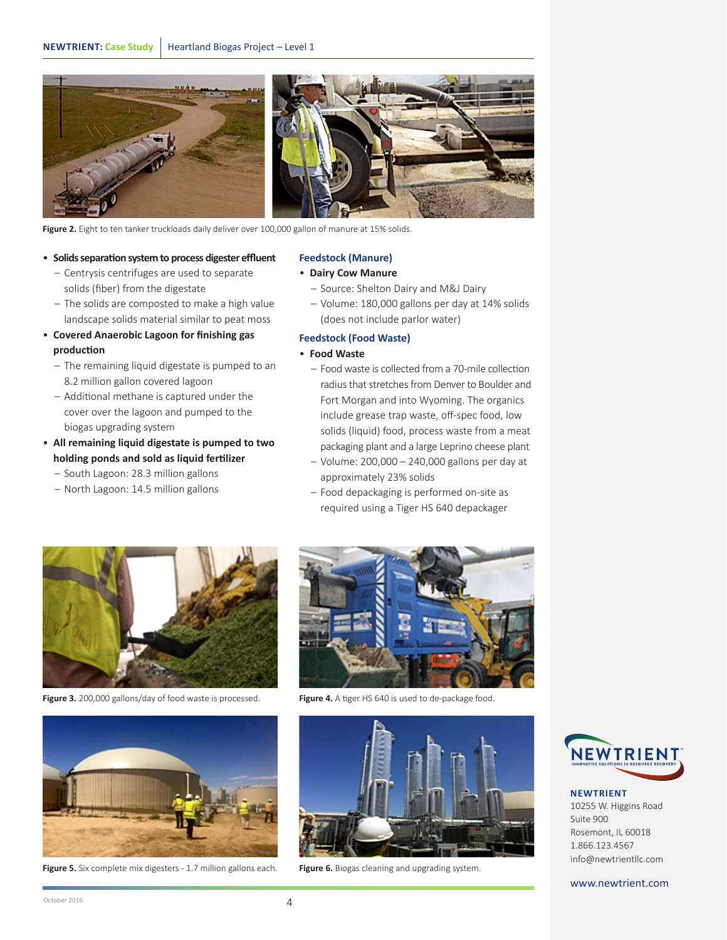

Figure 2. Eight to ten tanker truckloads daily deliver over 100,000 gallon of manure at 15% solids.

- **Solids separation system to process digester effluent** – Centrysis centrifuges are used to separate solids (fiber) from the digestate
	- The solids are composted to make a high value landscape solids material similar to peat moss
- **Covered Anaerobic Lagoon for finishing gas production**
	- The remaining liquid digestate is pumped to an 8.2 million gallon covered lagoon
	- Additional methane is captured under the cover over the lagoon and pumped to the biogas upgrading system
- **All remaining liquid digestate is pumped to two holding ponds and sold as liquid fertilizer**
	- South Lagoon: 28.3 million gallons
	- North Lagoon: 14.5 million gallons

#### **Feedstock (Manure)**

## • **Dairy Cow Manure**

- Source: Shelton Dairy and M&J Dairy
- Volume: 180,000 gallons per day at 14% solids (does not include parlor water)

#### **Feedstock (Food Waste)**

#### • **Food Waste**

- Food waste is collected from a 70-mile collection radius that stretches from Denver to Boulder and Fort Morgan and into Wyoming. The organics include grease trap waste, off-spec food, low solids (liquid) food, process waste from a meat packaging plant and a large Leprino cheese plant
- Volume: 200,000 240,000 gallons per day at approximately 23% solids
- Food depackaging is performed on-site as required using a Tiger HS 640 depackager



Figure 3. 200,000 gallons/day of food waste is processed. **Figure 4.** A tiger HS 640 is used to de-package food.



Figure 5. Six complete mix digesters - 1.7 million gallons each. Figure 6. Biogas cleaning and upgrading system.







**NEWTRIENT** 10255 W. Higgins Road Suite 900 Rosemont, IL 60018 1.866.123.4567 info@newtrientllc.com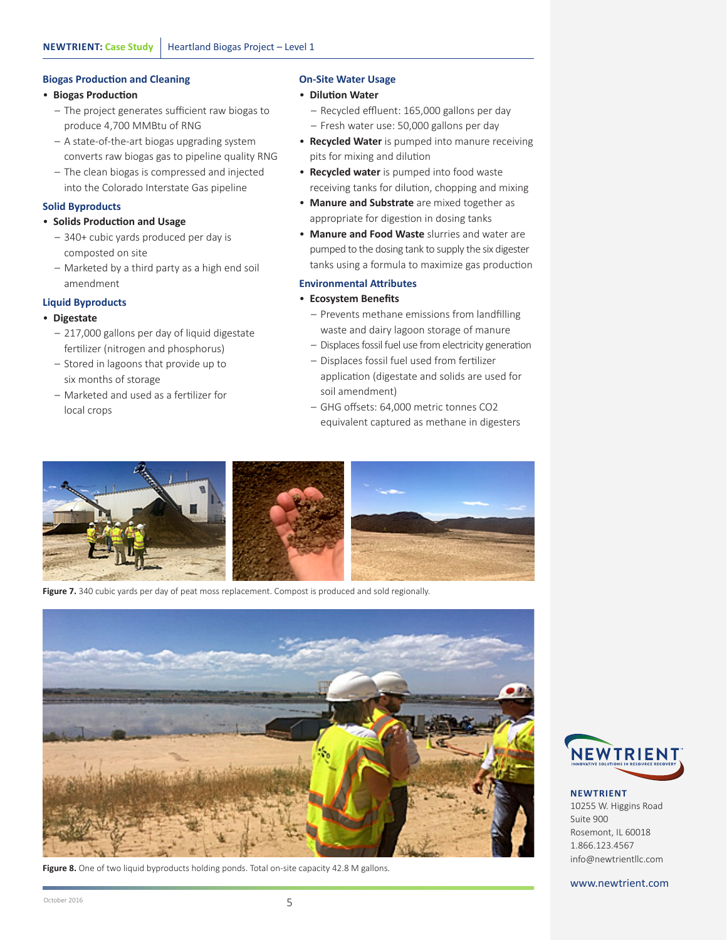# **Biogas Production and Cleaning**

#### • **Biogas Production**

- The project generates sufficient raw biogas to produce 4,700 MMBtu of RNG
- A state-of-the-art biogas upgrading system converts raw biogas gas to pipeline quality RNG
- The clean biogas is compressed and injected into the Colorado Interstate Gas pipeline

## **Solid Byproducts**

# • **Solids Production and Usage**

- 340+ cubic yards produced per day is composted on site
- Marketed by a third party as a high end soil amendment

# **Liquid Byproducts**

# • **Digestate**

- 217,000 gallons per day of liquid digestate fertilizer (nitrogen and phosphorus)
- Stored in lagoons that provide up to six months of storage
- Marketed and used as a fertilizer for local crops

# **On-Site Water Usage**

## • **Dilution Water**

- Recycled effluent: 165,000 gallons per day – Fresh water use: 50,000 gallons per day
- **Recycled Water** is pumped into manure receiving pits for mixing and dilution
- **Recycled water** is pumped into food waste receiving tanks for dilution, chopping and mixing
- **Manure and Substrate** are mixed together as appropriate for digestion in dosing tanks
- **Manure and Food Waste** slurries and water are pumped to the dosing tank to supply the six digester tanks using a formula to maximize gas production

# **Environmental Attributes**

# • **Ecosystem Benefits**

- Prevents methane emissions from landfilling waste and dairy lagoon storage of manure
- Displaces fossil fuel use from electricity generation
- Displaces fossil fuel used from fertilizer application (digestate and solids are used for soil amendment)
- GHG offsets: 64,000 metric tonnes CO2 equivalent captured as methane in digesters



Figure 7. 340 cubic yards per day of peat moss replacement. Compost is produced and sold regionally.



**Figure 8.** One of two liquid byproducts holding ponds. Total on-site capacity 42.8 M gallons.



**NEWTRIENT** 10255 W. Higgins Road Suite 900 Rosemont, IL 60018 1.866.123.4567 info@newtrientllc.com